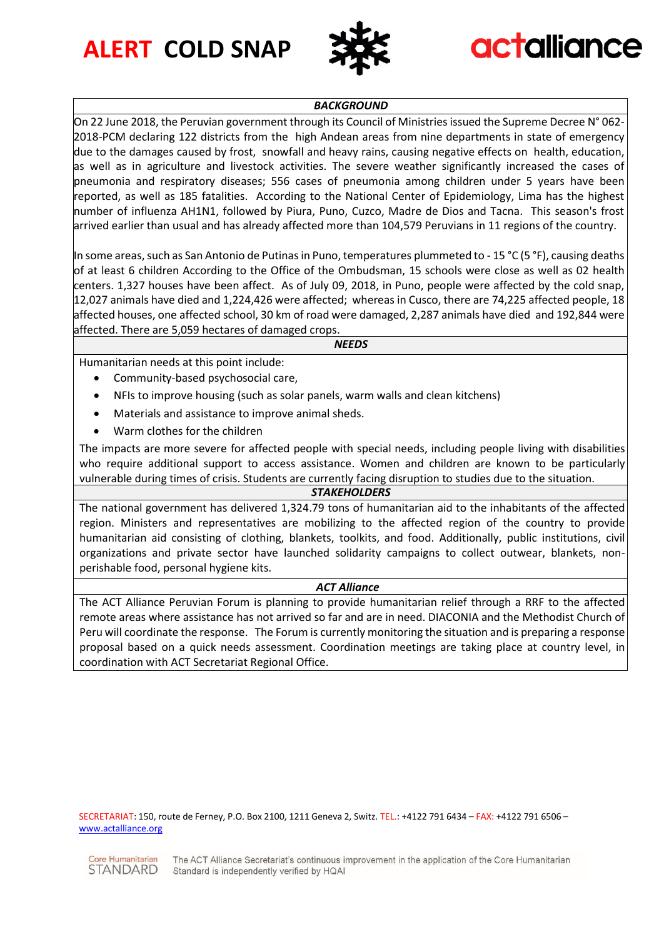**ALERT COLD SNAP**



## **actalliance**

## *BACKGROUND*

On 22 June 2018, the Peruvian government through its Council of Ministries issued the Supreme Decree N° 062- 2018-PCM declaring 122 districts from the high Andean areas from nine departments in state of emergency due to the damages caused by frost, snowfall and heavy rains, causing negative effects on health, education, as well as in agriculture and livestock activities. The severe weather significantly increased the cases of pneumonia and respiratory diseases; 556 cases of pneumonia among children under 5 years have been reported, as well as 185 fatalities. According to the National Center of Epidemiology, Lima has the highest number of influenza AH1N1, followed by Piura, Puno, Cuzco, Madre de Dios and Tacna. This season's frost arrived earlier than usual and has already affected more than 104,579 Peruvians in 11 regions of the country.

In some areas, such as San Antonio de Putinas in Puno, temperatures plummeted to - 15 °C (5 °F), causing deaths of at least 6 children According to the Office of the Ombudsman, 15 schools were close as well as 02 health centers. 1,327 houses have been affect. As of July 09, 2018, in Puno, people were affected by the cold snap, 12,027 animals have died and 1,224,426 were affected; whereas in Cusco, there are 74,225 affected people, 18 affected houses, one affected school, 30 km of road were damaged, 2,287 animals have died and 192,844 were affected. There are 5,059 hectares of damaged crops.

*NEEDS*

Humanitarian needs at this point include:

- Community-based psychosocial care,
- NFIs to improve housing (such as solar panels, warm walls and clean kitchens)
- Materials and assistance to improve animal sheds.
- Warm clothes for the children

The impacts are more severe for affected people with special needs, including people living with disabilities who require additional support to access assistance. Women and children are known to be particularly vulnerable during times of crisis. Students are currently facing disruption to studies due to the situation.

## *STAKEHOLDERS*

The national government has delivered 1,324.79 tons of humanitarian aid to the inhabitants of the affected region. Ministers and representatives are mobilizing to the affected region of the country to provide humanitarian aid consisting of clothing, blankets, toolkits, and food. Additionally, public institutions, civil organizations and private sector have launched solidarity campaigns to collect outwear, blankets, nonperishable food, personal hygiene kits.

## *ACT Alliance*

The ACT Alliance Peruvian Forum is planning to provide humanitarian relief through a RRF to the affected remote areas where assistance has not arrived so far and are in need. DIACONIA and the Methodist Church of Peru will coordinate the response. The Forum is currently monitoring the situation and is preparing a response proposal based on a quick needs assessment. Coordination meetings are taking place at country level, in coordination with ACT Secretariat Regional Office.

SECRETARIAT: 150, route de Ferney, P.O. Box 2100, 1211 Geneva 2, Switz. TEL.: +4122 791 6434 – FAX: +4122 791 6506 – [www.actalliance.org](http://www.actalliance.org/)